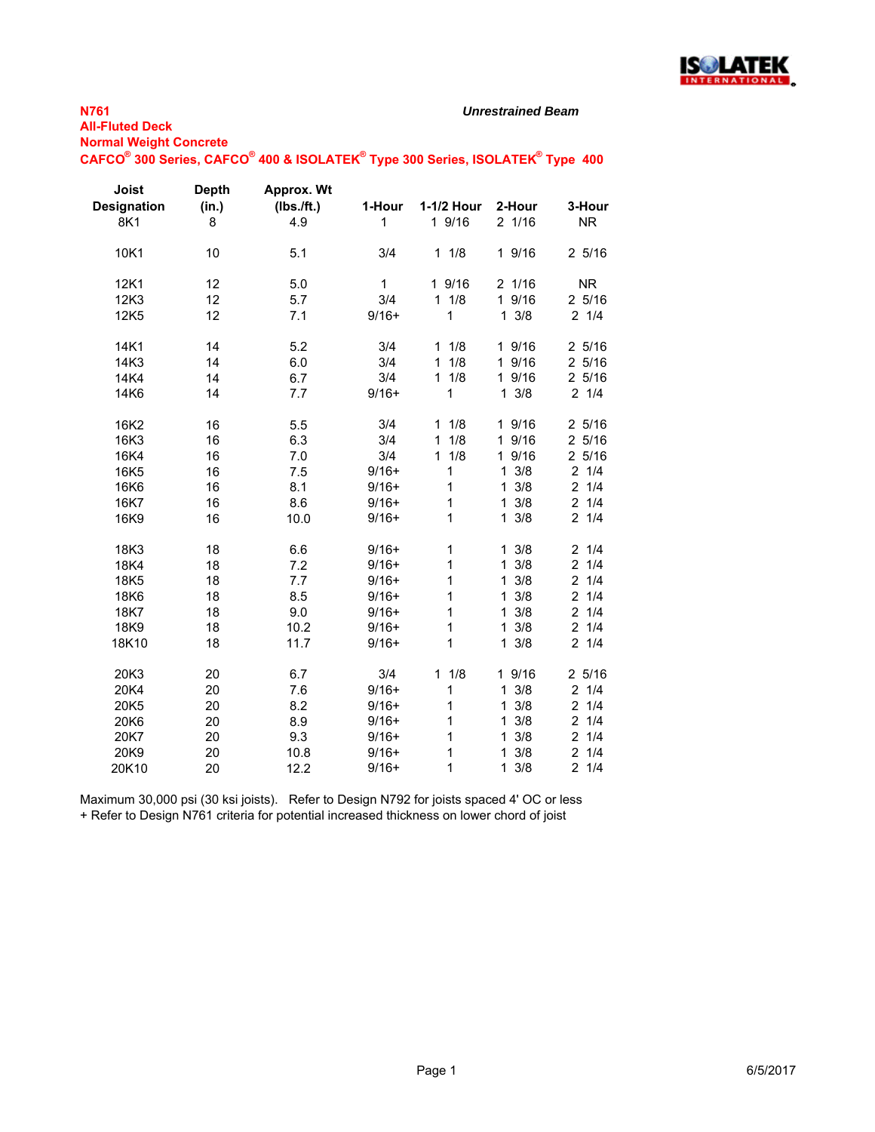

*Unrestrained Beam*

**Normal Weight Concrete**

## $\mathsf{CAFCO}^\circ$  300 Series,  $\mathsf{CAFCO}^\circ$  400 & ISOLATEK $^\circ$  Type 300 Series, ISOLATEK $^\circ$  Type 400

| Joist<br><b>Designation</b><br>8K1 | <b>Depth</b><br>(in.)<br>8 | Approx. Wt<br>(Ibs./ft.)<br>4.9 | 1-Hour<br>$\mathbf{1}$ | 1-1/2 Hour<br>1 9/16 | 2-Hour<br>2 1/16     | 3-Hour<br><b>NR</b>   |
|------------------------------------|----------------------------|---------------------------------|------------------------|----------------------|----------------------|-----------------------|
| 10K1                               | 10                         | 5.1                             | 3/4                    | 11/8                 | 1 9/16               | $2\frac{5}{16}$       |
| 12K1                               | 12                         | 5.0                             | $\mathbf{1}$           | 1 9/16               | 2 1/16               | <b>NR</b>             |
| 12K3                               | 12                         | 5.7                             | 3/4                    | 11/8                 | $\mathbf{1}$<br>9/16 | 25/16                 |
| 12K5                               | 12                         | 7.1                             | $9/16+$                | 1                    | $1 \frac{3}{8}$      | $2 \t1/4$             |
| 14K1                               | 14                         | 5.2                             | 3/4                    | 1/8<br>$\mathbf{1}$  | 1 9/16               | 25/16                 |
| 14K3                               | 14                         | 6.0                             | 3/4                    | 1/8<br>$\mathbf{1}$  | 1 9/16               | 25/16                 |
| 14K4                               | 14                         | 6.7                             | 3/4                    | 11/8                 | 1 9/16               | 25/16                 |
| 14K6                               | 14                         | 7.7                             | $9/16+$                | 1                    | $1 \frac{3}{8}$      | $2 \t1/4$             |
| 16K2                               | 16                         | 5.5                             | 3/4                    | 1/8<br>$\mathbf{1}$  | 1 9/16               | 25/16                 |
| 16K3                               | 16                         | 6.3                             | 3/4                    | 1/8<br>$\mathbf{1}$  | 1 9/16               | 25/16                 |
| 16K4                               | 16                         | 7.0                             | 3/4                    | 11/8                 | 1 9/16               | 25/16                 |
| 16K5                               | 16                         | 7.5                             | $9/16+$                | 1                    | $1 \frac{3}{8}$      | $2 \t1/4$             |
| 16K6                               | 16                         | 8.1                             | $9/16+$                | 1                    | $1 \frac{3}{8}$      | 1/4<br>$\overline{2}$ |
| 16K7                               | 16                         | 8.6                             | $9/16+$                | $\mathbf{1}$         | $1 \frac{3}{8}$      | $\overline{2}$<br>1/4 |
| 16K9                               | 16                         | 10.0                            | $9/16+$                | 1                    | $1 \frac{3}{8}$      | 21/4                  |
| 18K3                               | 18                         | 6.6                             | $9/16+$                | 1                    | $1 \frac{3}{8}$      | $2 \frac{1}{4}$       |
| 18K4                               | 18                         | 7.2                             | $9/16+$                | 1                    | $\mathbf{1}$<br>3/8  | 1/4<br>2              |
| 18K5                               | 18                         | 7.7                             | $9/16+$                | $\mathbf{1}$         | 3/8<br>$\mathbf{1}$  | $\overline{2}$<br>1/4 |
| 18K6                               | 18                         | 8.5                             | $9/16+$                | $\mathbf 1$          | 3/8<br>$\mathbf{1}$  | 21/4                  |
| 18K7                               | 18                         | 9.0                             | $9/16+$                | $\mathbf 1$          | $\mathbf{1}$<br>3/8  | 21/4                  |
| 18K9                               | 18                         | 10.2                            | $9/16+$                | $\mathbf 1$          | 3/8<br>$\mathbf{1}$  | $2 \t1/4$             |
| 18K10                              | 18                         | 11.7                            | $9/16+$                | $\mathbf{1}$         | 3/8<br>$\mathbf 1$   | 21/4                  |
| 20K3                               | 20                         | 6.7                             | 3/4                    | 11/8                 | 1 9/16               | 25/16                 |
| 20K4                               | 20                         | 7.6                             | $9/16+$                | 1                    | 3/8<br>$\mathbf{1}$  | $2 \t1/4$             |
| 20K5                               | 20                         | 8.2                             | $9/16+$                | 1                    | $1 \frac{3}{8}$      | 21/4                  |
| 20K6                               | 20                         | 8.9                             | $9/16+$                | 1                    | $1 \frac{3}{8}$      | 21/4                  |
| 20K7                               | 20                         | 9.3                             | $9/16+$                | 1                    | $1 \frac{3}{8}$      | $2 \t1/4$             |
| 20K9                               | 20                         | 10.8                            | $9/16+$                | $\mathbf 1$          | $1 \frac{3}{8}$      | $\overline{2}$<br>1/4 |
| 20K10                              | 20                         | 12.2                            | $9/16+$                | 1                    | $1 \frac{3}{8}$      | 21/4                  |

Maximum 30,000 psi (30 ksi joists). Refer to Design N792 for joists spaced 4' OC or less + Refer to Design N761 criteria for potential increased thickness on lower chord of joist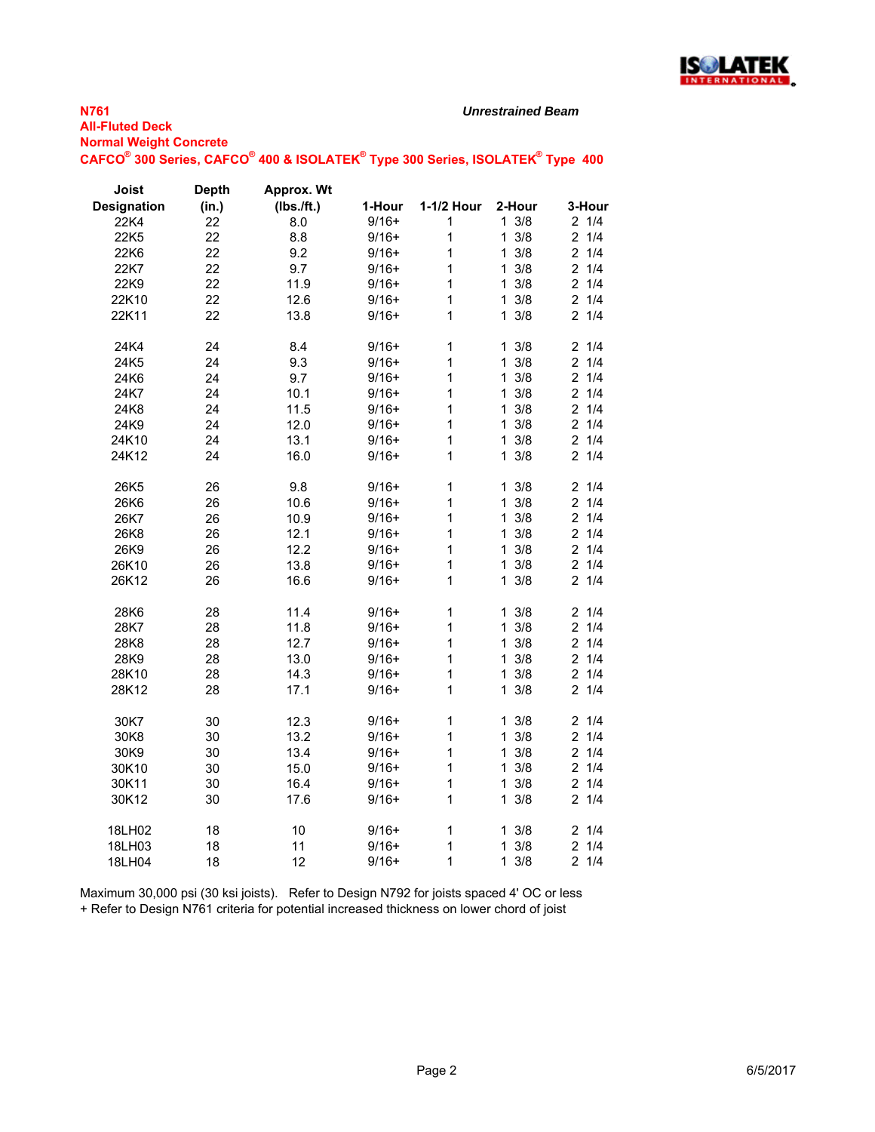

#### *Unrestrained Beam*

**Normal Weight Concrete**  $\mathsf{CAFCO}^\circ$  300 Series,  $\mathsf{CAFCO}^\circ$  400 & ISOLATEK $^\circ$  Type 300 Series, ISOLATEK $^\circ$  Type 400

| Joist              | <b>Depth</b> | <b>Approx. Wt</b> |         |              |                     |                       |
|--------------------|--------------|-------------------|---------|--------------|---------------------|-----------------------|
| <b>Designation</b> | (in.)        | (Ibs./ft.)        | 1-Hour  | 1-1/2 Hour   | 2-Hour              | 3-Hour                |
| 22K4               | 22           | 8.0               | $9/16+$ | 1            | $1 \frac{3}{8}$     | $2 \t1/4$             |
| 22K5               | 22           | 8.8               | $9/16+$ | $\mathbf{1}$ | 3/8<br>$\mathbf 1$  | 1/4<br>$\overline{2}$ |
| 22K6               | 22           | 9.2               | $9/16+$ | 1            | $\mathbf{1}$<br>3/8 | 21/4                  |
| 22K7               | 22           | 9.7               | $9/16+$ | 1            | $1 \frac{3}{8}$     | 21/4                  |
| 22K9               | 22           | 11.9              | $9/16+$ | $\mathbf 1$  | 3/8<br>$\mathbf{1}$ | $2 \t1/4$             |
| 22K10              | 22           | 12.6              | $9/16+$ | 1            | 3/8<br>$\mathbf{1}$ | 21/4                  |
| 22K11              | 22           | 13.8              | $9/16+$ | 1            | 3/8<br>$\mathbf{1}$ | 21/4                  |
| 24K4               | 24           | 8.4               | $9/16+$ | $\mathbf{1}$ | 3/8<br>$\mathbf{1}$ | 21/4                  |
| 24K5               | 24           | 9.3               | $9/16+$ | $\mathbf 1$  | 3/8<br>$\mathbf{1}$ | $\overline{c}$<br>1/4 |
| 24K6               | 24           | 9.7               | $9/16+$ | $\mathbf{1}$ | 3/8<br>$\mathbf{1}$ | 21/4                  |
| 24K7               | 24           | 10.1              | $9/16+$ | 1            | 3/8<br>$\mathbf{1}$ | 21/4                  |
| 24K8               | 24           | 11.5              | $9/16+$ | 1            | 3/8<br>$\mathbf{1}$ | $\overline{2}$<br>1/4 |
| 24K9               | 24           | 12.0              | $9/16+$ | $\mathbf{1}$ | $1 \frac{3}{8}$     | 1/4<br>$\overline{2}$ |
| 24K10              | 24           | 13.1              | $9/16+$ | $\mathbf{1}$ | $1 \frac{3}{8}$     | $\overline{2}$<br>1/4 |
| 24K12              | 24           | 16.0              | $9/16+$ | 1            | 3/8<br>$\mathbf{1}$ | $2 \t1/4$             |
| 26K5               | 26           | 9.8               | $9/16+$ | $\mathbf{1}$ | 3/8<br>$\mathbf{1}$ | 1/4<br>2              |
| 26K6               | 26           | 10.6              | $9/16+$ | 1            | 3/8<br>$\mathbf{1}$ | 1/4<br>$\overline{c}$ |
| 26K7               | 26           | 10.9              | $9/16+$ | $\mathbf 1$  | 3/8<br>$\mathbf{1}$ | $2 \t1/4$             |
| 26K8               | 26           | 12.1              | $9/16+$ | 1            | 3/8<br>$\mathbf{1}$ | $\overline{2}$<br>1/4 |
| 26K9               | 26           | 12.2              | $9/16+$ | 1            | 3/8<br>$\mathbf{1}$ | $\overline{2}$<br>1/4 |
| 26K10              | 26           | 13.8              | $9/16+$ | 1            | 3/8<br>$\mathbf{1}$ | $\overline{2}$<br>1/4 |
| 26K12              | 26           | 16.6              | $9/16+$ | $\mathbf{1}$ | 3/8<br>$\mathbf{1}$ | 21/4                  |
| 28K6               | 28           | 11.4              | $9/16+$ | 1            | 3/8<br>$\mathbf{1}$ | 1/4<br>$\overline{2}$ |
| 28K7               | 28           | 11.8              | $9/16+$ | $\mathbf{1}$ | 3/8<br>$\mathbf{1}$ | 1/4<br>$\overline{2}$ |
| 28K8               | 28           | 12.7              | $9/16+$ | 1            | $1 \frac{3}{8}$     | $\overline{2}$<br>1/4 |
| 28K9               | 28           | 13.0              | $9/16+$ | $\mathbf{1}$ | 3/8<br>$\mathbf{1}$ | $\overline{2}$<br>1/4 |
| 28K10              | 28           | 14.3              | $9/16+$ | 1            | 3/8<br>$\mathbf{1}$ | 21/4                  |
| 28K12              | 28           | 17.1              | $9/16+$ | 1            | 3/8<br>$\mathbf{1}$ | 21/4                  |
| 30K7               | 30           | 12.3              | $9/16+$ | $\mathbf{1}$ | 3/8<br>$\mathbf{1}$ | 21/4                  |
| 30K8               | 30           | 13.2              | $9/16+$ | $\mathbf{1}$ | $1 \frac{3}{8}$     | 21/4                  |
| 30K9               | 30           | 13.4              | $9/16+$ | $\mathbf{1}$ | $1 \frac{3}{8}$     | $\overline{2}$<br>1/4 |
| 30K10              | 30           | 15.0              | $9/16+$ | $\mathbf{1}$ | 3/8<br>$\mathbf{1}$ | 1/4<br>$\overline{2}$ |
| 30K11              | 30           | 16.4              | $9/16+$ | $\mathbf{1}$ | 3/8<br>$\mathbf{1}$ | $\overline{2}$<br>1/4 |
| 30K12              | 30           | 17.6              | $9/16+$ | 1            | 3/8<br>$\mathbf{1}$ | 1/4<br>2              |
| 18LH02             | 18           | 10                | $9/16+$ | $\mathbf{1}$ | $1 \frac{3}{8}$     | 21/4                  |
| 18LH03             | 18           | 11                | $9/16+$ | 1            | 3/8<br>$\mathbf{1}$ | $\overline{c}$<br>1/4 |
| 18LH04             | 18           | 12                | $9/16+$ | $\mathbf{1}$ | $1 \frac{3}{8}$     | 21/4                  |

Maximum 30,000 psi (30 ksi joists). Refer to Design N792 for joists spaced 4' OC or less + Refer to Design N761 criteria for potential increased thickness on lower chord of joist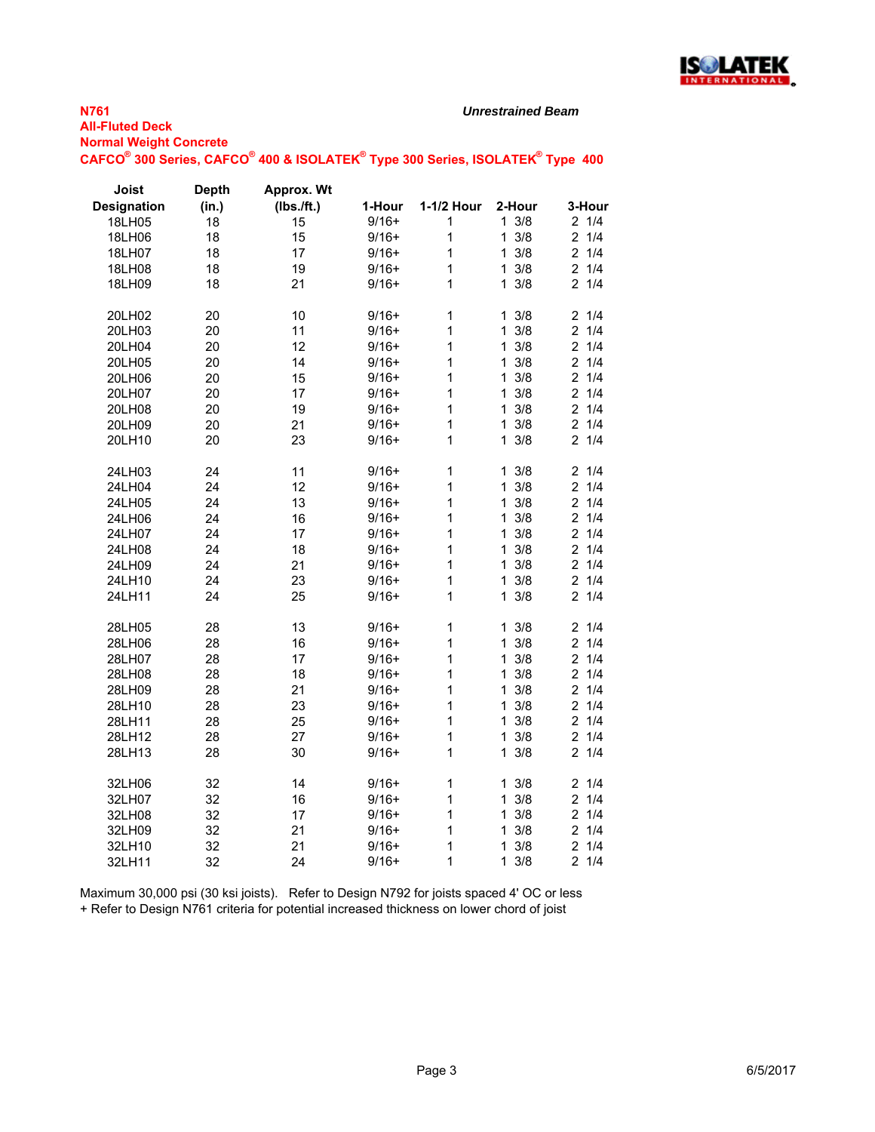

#### *Unrestrained Beam*

**Normal Weight Concrete**  $\mathsf{CAFCO}^\circ$  300 Series,  $\mathsf{CAFCO}^\circ$  400 & ISOLATEK $^\circ$  Type 300 Series, ISOLATEK $^\circ$  Type 400

| Joist              | <b>Depth</b> | Approx. Wt |         |              |                     |                       |
|--------------------|--------------|------------|---------|--------------|---------------------|-----------------------|
| <b>Designation</b> | (in.)        | (Ibs./ft.) | 1-Hour  | 1-1/2 Hour   | 2-Hour              | 3-Hour                |
| 18LH05             | 18           | 15         | $9/16+$ | 1            | $1 \frac{3}{8}$     | 21/4                  |
| 18LH06             | 18           | 15         | $9/16+$ | 1            | 3/8<br>1            | 21/4                  |
| 18LH07             | 18           | 17         | $9/16+$ | $\mathbf{1}$ | 3/8<br>1            | 1/4<br>$\overline{c}$ |
| 18LH08             | 18           | 19         | $9/16+$ | 1            | 3/8<br>1            | $2 \t1/4$             |
| 18LH09             | 18           | 21         | $9/16+$ | 1            | 3/8<br>1            | 21/4                  |
| 20LH02             | 20           | 10         | $9/16+$ | 1            | 3/8<br>1.           | 21/4                  |
| 20LH03             | 20           | 11         | $9/16+$ | 1            | 3/8<br>1            | 1/4<br>2              |
| 20LH04             | 20           | 12         | $9/16+$ | $\mathbf 1$  | 3/8<br>1            | $\overline{2}$<br>1/4 |
| 20LH05             | 20           | 14         | $9/16+$ | 1            | 3/8<br>1            | 1/4<br>$\overline{c}$ |
| 20LH06             | 20           | 15         | $9/16+$ | 1            | 3/8<br>1.           | 21/4                  |
| 20LH07             | 20           | 17         | $9/16+$ | $\mathbf{1}$ | 3/8<br>1            | $\overline{2}$<br>1/4 |
| 20LH08             | 20           | 19         | $9/16+$ | $\mathbf{1}$ | 3/8<br>1            | 1/4<br>$\overline{2}$ |
| 20LH09             | 20           | 21         | $9/16+$ | 1            | 3/8<br>1            | $\overline{c}$<br>1/4 |
| 20LH10             | 20           | 23         | $9/16+$ | 1            | 3/8<br>1            | 1/4<br>2              |
| 24LH03             | 24           | 11         | $9/16+$ | $\mathbf 1$  | 3/8<br>1.           | 21/4                  |
| 24LH04             | 24           | 12         | $9/16+$ | $\mathbf 1$  | 3/8<br>1            | 1/4<br>$\overline{c}$ |
| 24LH05             | 24           | 13         | $9/16+$ | 1            | 3/8<br>1            | 1/4<br>2              |
| 24LH06             | 24           | 16         | $9/16+$ | 1            | 3/8<br>1            | 1/4<br>$\overline{2}$ |
| 24LH07             | 24           | 17         | $9/16+$ | 1            | 1<br>3/8            | $\overline{2}$<br>1/4 |
| 24LH08             | 24           | 18         | $9/16+$ | 1            | 3/8<br>$\mathbf{1}$ | $\overline{2}$<br>1/4 |
| 24LH09             | 24           | 21         | $9/16+$ | 1            | 3/8<br>1            | $\overline{c}$<br>1/4 |
| 24LH10             | 24           | 23         | $9/16+$ | 1            | 3/8<br>1            | $\overline{c}$<br>1/4 |
| 24LH11             | 24           | 25         | $9/16+$ | 1            | 3/8<br>$\mathbf{1}$ | $2 \t1/4$             |
| 28LH05             | 28           | 13         | $9/16+$ | 1            | 3/8<br>1            | 21/4                  |
| 28LH06             | 28           | 16         | $9/16+$ | 1            | 3/8<br>1            | $\overline{c}$<br>1/4 |
| 28LH07             | 28           | 17         | $9/16+$ | $\mathbf{1}$ | 3/8<br>1            | $\overline{2}$<br>1/4 |
| 28LH08             | 28           | 18         | $9/16+$ | 1            | 3/8<br>1            | 1/4<br>2              |
| 28LH09             | 28           | 21         | $9/16+$ | 1            | 3/8<br>1.           | $\overline{2}$<br>1/4 |
| 28LH10             | 28           | 23         | $9/16+$ | 1            | 3/8<br>1            | 1/4<br>$\overline{2}$ |
| 28LH11             | 28           | 25         | $9/16+$ | $\mathbf{1}$ | 3/8<br>1            | 1/4<br>$\overline{2}$ |
| 28LH12             | 28           | 27         | $9/16+$ | 1            | 3/8<br>1            | $\overline{2}$<br>1/4 |
| 28LH13             | 28           | 30         | $9/16+$ | 1            | 3/8<br>$\mathbf{1}$ | $\overline{2}$<br>1/4 |
| 32LH06             | 32           | 14         | $9/16+$ | $\mathbf 1$  | 3/8<br>1.           | 21/4                  |
| 32LH07             | 32           | 16         | $9/16+$ | $\mathbf 1$  | 3/8<br>1            | 1/4<br>2              |
| 32LH08             | 32           | 17         | $9/16+$ | $\mathbf{1}$ | 3/8<br>1            | $\overline{2}$<br>1/4 |
| 32LH09             | 32           | 21         | $9/16+$ | $\mathbf{1}$ | 3/8<br>1            | 1/4<br>$\overline{c}$ |
| 32LH10             | 32           | 21         | $9/16+$ | 1            | 3/8<br>1            | $\overline{2}$<br>1/4 |
| 32LH11             | 32           | 24         | $9/16+$ | 1            | 3/8<br>1            | 2<br>1/4              |

Maximum 30,000 psi (30 ksi joists). Refer to Design N792 for joists spaced 4' OC or less + Refer to Design N761 criteria for potential increased thickness on lower chord of joist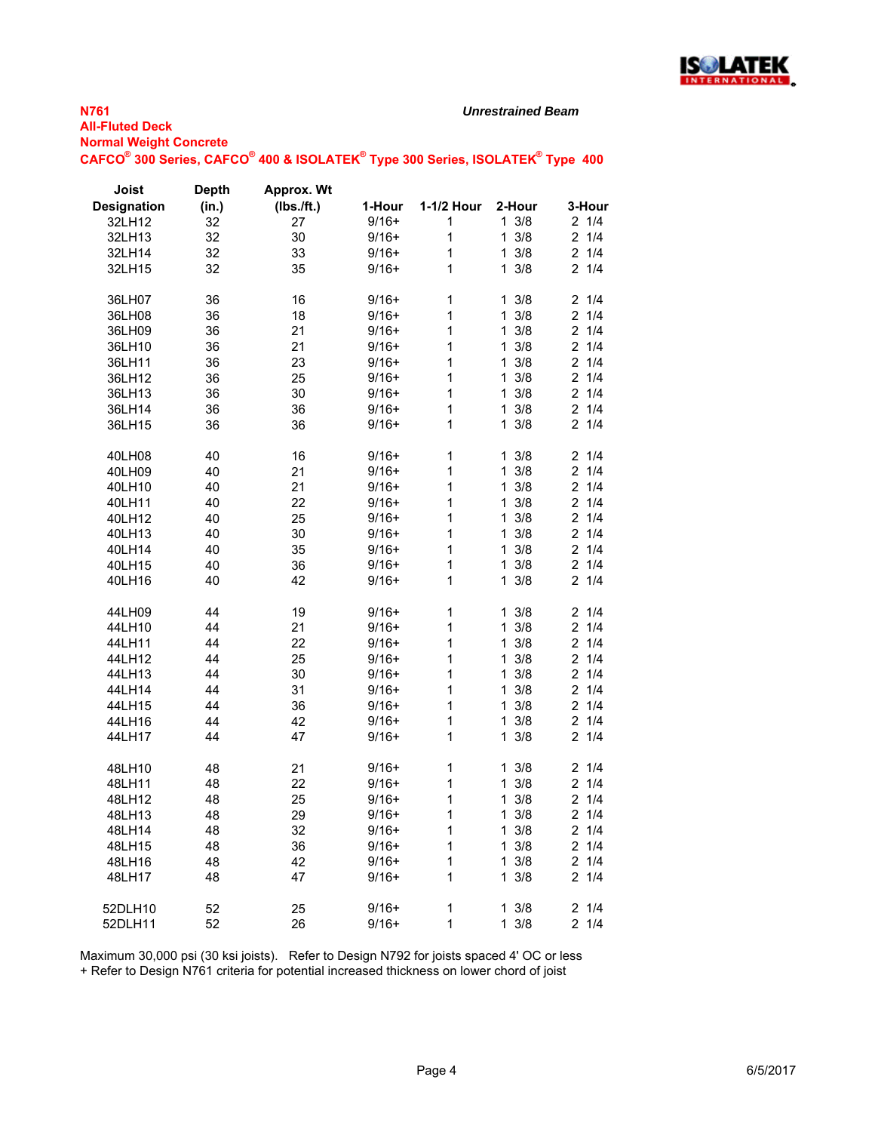

**N761 All-Fluted Deck Normal Weight Concrete**

#### *Unrestrained Beam*

 $\mathsf{CAFCO}^\circ$  300 Series,  $\mathsf{CAFCO}^\circ$  400 & ISOLATEK $^\circ$  Type 300 Series, ISOLATEK $^\circ$  Type 400

| Joist              | <b>Depth</b> | <b>Approx. Wt</b> |         |            |                     |                       |
|--------------------|--------------|-------------------|---------|------------|---------------------|-----------------------|
| <b>Designation</b> | (in.)        | (Ibs./ft.)        | 1-Hour  | 1-1/2 Hour | 2-Hour              | 3-Hour                |
| 32LH12             | 32           | 27                | $9/16+$ | 1          | $1 \frac{3}{8}$     | 21/4                  |
| 32LH13             | 32           | 30                | $9/16+$ | 1          | 1<br>3/8            | 21/4                  |
| 32LH14             | 32           | 33                | $9/16+$ | 1          | 3/8<br>1            | $2 \frac{1}{4}$       |
| 32LH15             | 32           | 35                | $9/16+$ | 1          | 1<br>3/8            | 21/4                  |
|                    |              |                   |         |            |                     |                       |
| 36LH07             | 36           | 16                | $9/16+$ | 1          | $1 \frac{3}{8}$     | 21/4                  |
| 36LH08             | 36           | 18                | $9/16+$ | 1          | 3/8<br>1            | 1/4<br>2              |
| 36LH09             | 36           | 21                | $9/16+$ | 1          | 3/8<br>1            | 1/4<br>$\overline{2}$ |
| 36LH10             | 36           | 21                | $9/16+$ | 1          | 3/8<br>1            | $\overline{2}$<br>1/4 |
| 36LH11             | 36           | 23                | $9/16+$ | 1          | $\mathbf{1}$<br>3/8 | 1/4<br>2              |
| 36LH12             | 36           | 25                | $9/16+$ | 1          | 3/8<br>1            | 1/4<br>$\overline{2}$ |
| 36LH13             | 36           | 30                | $9/16+$ | 1          | 3/8<br>1            | 2<br>1/4              |
| 36LH14             | 36           | 36                | $9/16+$ | 1          | 3/8<br>$\mathbf 1$  | $\overline{2}$<br>1/4 |
| 36LH15             | 36           | 36                | $9/16+$ | 1          | 3/8<br>1            | 1/4<br>2              |
|                    |              |                   |         |            |                     |                       |
| 40LH08             | 40           | 16                | $9/16+$ | 1          | 1<br>3/8            | $\overline{2}$<br>1/4 |
| 40LH09             | 40           | 21                | $9/16+$ | 1          | 3/8<br>1            | $\overline{2}$<br>1/4 |
| 40LH10             | 40           | 21                | $9/16+$ | 1          | 3/8<br>1.           | 1/4<br>2              |
| 40LH11             | 40           | 22                | $9/16+$ | 1          | 1<br>3/8            | $\overline{2}$<br>1/4 |
| 40LH12             | 40           | 25                | $9/16+$ | 1          | 1<br>3/8            | 21/4                  |
| 40LH13             | 40           | 30                | $9/16+$ | 1          | 3/8<br>1            | 1/4<br>2              |
| 40LH14             | 40           | 35                | $9/16+$ | 1          | $1 \frac{3}{8}$     | 21/4                  |
| 40LH15             | 40           | 36                | $9/16+$ | 1          | 3/8<br>1            | $\overline{2}$<br>1/4 |
| 40LH16             | 40           | 42                | $9/16+$ | 1          | 3/8<br>1.           | 1/4<br>2              |
|                    |              |                   |         |            |                     |                       |
| 44LH09             | 44           | 19                | $9/16+$ | 1          | 3/8<br>1            | 2<br>1/4              |
| 44LH10             | 44           | 21                | $9/16+$ | 1          | 3/8<br>1            | $\overline{2}$<br>1/4 |
| 44LH11             | 44           | 22                | $9/16+$ | 1          | 3/8<br>1            | 1/4<br>$\overline{2}$ |
| 44LH12             | 44           | 25                | $9/16+$ | 1          | $1 \frac{3}{8}$     | 1/4<br>$\overline{2}$ |
| 44LH13             | 44           | 30                | $9/16+$ | 1          | 3/8<br>1            | 1/4<br>$\overline{2}$ |
| 44LH14             | 44           | 31                | $9/16+$ | 1          | 3/8<br>$\mathbf{1}$ | 1/4<br>2              |
| 44LH15             | 44           | 36                | $9/16+$ | 1          | 1.<br>3/8           | 1/4<br>2              |
| 44LH16             | 44           | 42                | $9/16+$ | 1          | 3/8<br>1            | 1/4<br>2              |
| 44LH17             | 44           | 47                | $9/16+$ | 1          | 3/8<br>1            | 21/4                  |
|                    |              |                   |         |            |                     |                       |
| 48LH10             | 48           | 21                | $9/16+$ | 1          | $\mathbf 1$<br>3/8  | $\overline{2}$<br>1/4 |
| 48LH11             | 48           | 22                | $9/16+$ | 1          | 3/8<br>1            | $\overline{2}$<br>1/4 |
| 48LH12             | 48           | 25                | $9/16+$ | 1          | 3/8<br>1.           | 2<br>1/4              |
| 48LH13             | 48           | 29                | $9/16+$ | 1          | 3/8<br>1            | 21/4                  |
| 48LH14             | 48           | 32                | $9/16+$ | 1          | 3/8<br>$\mathbf 1$  | 2<br>1/4              |
| 48LH15             | 48           | 36                | $9/16+$ | 1          | 1<br>3/8            | 21/4                  |
| 48LH16             | 48           | 42                | $9/16+$ | 1          | 1<br>3/8            | $\overline{2}$<br>1/4 |
| 48LH17             | 48           | 47                | $9/16+$ | 1          | $1 \frac{3}{8}$     | 21/4                  |
|                    |              |                   |         |            |                     |                       |
| 52DLH10            | 52           | 25                | $9/16+$ | 1          | 3/8<br>1            | 1/4<br>$\overline{2}$ |
| 52DLH11            | 52           | 26                | $9/16+$ | 1          | 1<br>3/8            | 21/4                  |

Maximum 30,000 psi (30 ksi joists). Refer to Design N792 for joists spaced 4' OC or less

+ Refer to Design N761 criteria for potential increased thickness on lower chord of joist